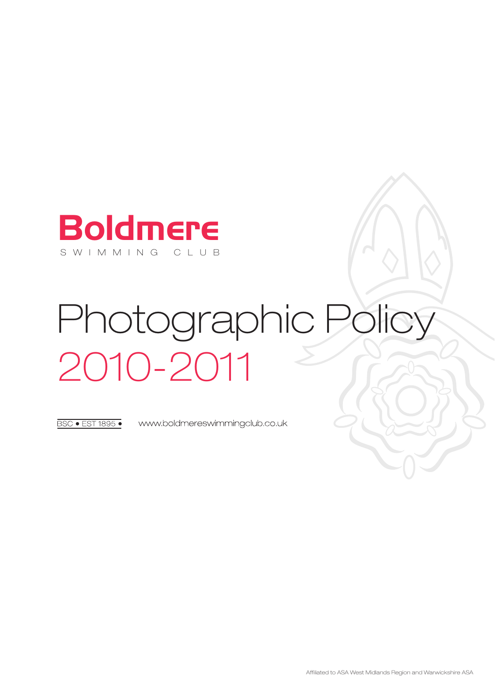

# Photographic Policy 2010-2011

**BSC · EST 1895 ·** 

www.boldmereswimmingclub.co.uk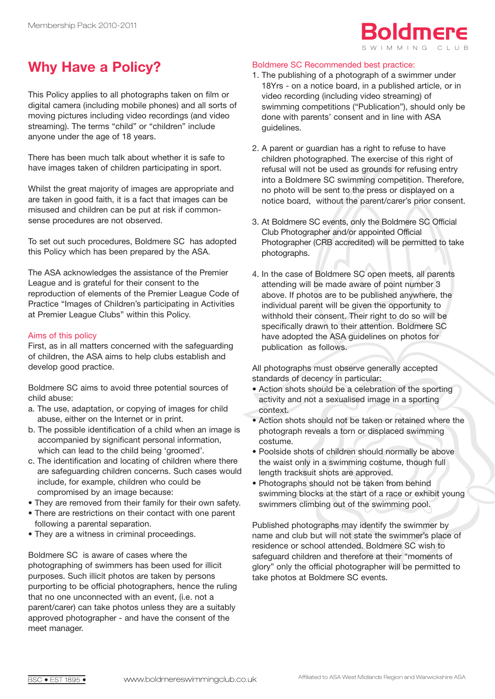## SWIMMING CLUB Boldmere

## **Why Have a Policy?**

This Policy applies to all photographs taken on film or digital camera (including mobile phones) and all sorts of moving pictures including video recordings (and video streaming). The terms "child" or "children" include anyone under the age of 18 years.

There has been much talk about whether it is safe to have images taken of children participating in sport.

Whilst the great majority of images are appropriate and are taken in good faith, it is a fact that images can be misused and children can be put at risk if commonsense procedures are not observed.

To set out such procedures, Boldmere SC has adopted this Policy which has been prepared by the ASA.

The ASA acknowledges the assistance of the Premier League and is grateful for their consent to the reproduction of elements of the Premier League Code of Practice "Images of Children's participating in Activities at Premier League Clubs" within this Policy.

## Aims of this policy

First, as in all matters concerned with the safeguarding of children, the ASA aims to help clubs establish and develop good practice.

Boldmere SC aims to avoid three potential sources of child abuse:

- a. The use, adaptation, or copying of images for child abuse, either on the Internet or in print.
- b. The possible identification of a child when an image is accompanied by significant personal information, which can lead to the child being 'groomed'.
- c. The identification and locating of children where there are safeguarding children concerns. Such cases would include, for example, children who could be compromised by an image because:
- They are removed from their family for their own safety.
- There are restrictions on their contact with one parent following a parental separation.
- They are a witness in criminal proceedings.

Boldmere SC is aware of cases where the photographing of swimmers has been used for illicit purposes. Such illicit photos are taken by persons purporting to be official photographers, hence the ruling that no one unconnected with an event, (i.e. not a parent/carer) can take photos unless they are a suitably approved photographer - and have the consent of the meet manager.

## Boldmere SC Recommended best practice:

- 1. The publishing of a photograph of a swimmer under 18Yrs - on a notice board, in a published article, or in video recording (including video streaming) of swimming competitions ("Publication"), should only be done with parents' consent and in line with ASA guidelines.
- 2. A parent or guardian has a right to refuse to have children photographed. The exercise of this right of refusal will not be used as grounds for refusing entry into a Boldmere SC swimming competition. Therefore, no photo will be sent to the press or displayed on a notice board, without the parent/carer's prior consent.
- 3. At Boldmere SC events, only the Boldmere SC Official Club Photographer and/or appointed Official Photographer (CRB accredited) will be permitted to take photographs.
- 4. In the case of Boldmere SC open meets, all parents attending will be made aware of point number 3 above. If photos are to be published anywhere, the individual parent will be given the opportunity to withhold their consent. Their right to do so will be specifically drawn to their attention. Boldmere SC have adopted the ASA guidelines on photos for publication as follows.

All photographs must observe generally accepted standards of decency in particular:

- Action shots should be a celebration of the sporting activity and not a sexualised image in a sporting context.
- Action shots should not be taken or retained where the photograph reveals a torn or displaced swimming costume.
- Poolside shots of children should normally be above the waist only in a swimming costume, though full length tracksuit shots are approved.
- Photographs should not be taken from behind swimming blocks at the start of a race or exhibit young swimmers climbing out of the swimming pool.

Published photographs may identify the swimmer by name and club but will not state the swimmer's place of residence or school attended. Boldmere SC wish to safeguard children and therefore at their "moments of glory" only the official photographer will be permitted to take photos at Boldmere SC events.